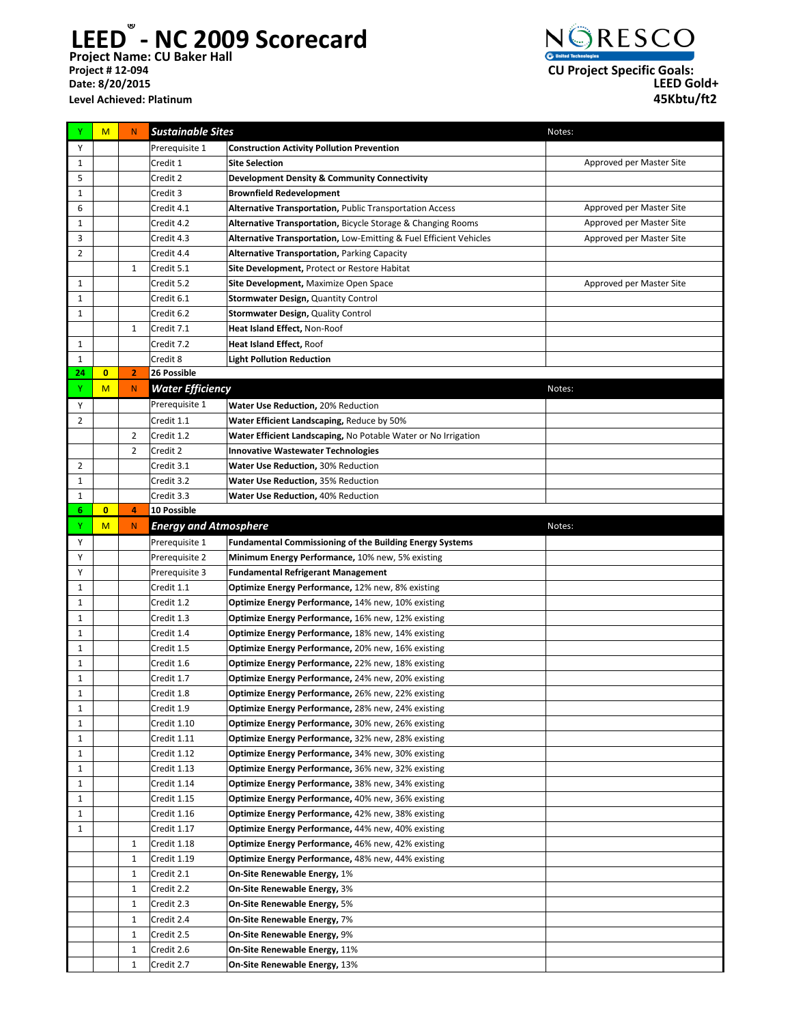**Project Name: CU Baker Hall LEED® - NC 2009 Scorecard Level Achieved: Platinum**



| Y            | M              | $\mathsf{N}$   | <b>Sustainable Sites</b>     |                                                                    | Notes:                   |
|--------------|----------------|----------------|------------------------------|--------------------------------------------------------------------|--------------------------|
| Υ            |                |                | Prerequisite 1               | <b>Construction Activity Pollution Prevention</b>                  |                          |
| 1            |                |                | Credit 1                     | <b>Site Selection</b>                                              | Approved per Master Site |
| 5            |                |                | Credit 2                     | <b>Development Density &amp; Community Connectivity</b>            |                          |
| 1            |                |                | Credit 3                     | <b>Brownfield Redevelopment</b>                                    |                          |
| 6            |                |                | Credit 4.1                   | Alternative Transportation, Public Transportation Access           | Approved per Master Site |
| 1            |                |                | Credit 4.2                   | Alternative Transportation, Bicycle Storage & Changing Rooms       | Approved per Master Site |
| 3            |                |                | Credit 4.3                   | Alternative Transportation, Low-Emitting & Fuel Efficient Vehicles | Approved per Master Site |
| 2            |                |                | Credit 4.4                   | <b>Alternative Transportation, Parking Capacity</b>                |                          |
|              |                | 1              | Credit 5.1                   | Site Development, Protect or Restore Habitat                       |                          |
| 1            |                |                | Credit 5.2                   | Site Development, Maximize Open Space                              | Approved per Master Site |
| $\mathbf{1}$ |                |                | Credit 6.1                   | Stormwater Design, Quantity Control                                |                          |
| $\mathbf{1}$ |                |                | Credit 6.2                   | Stormwater Design, Quality Control                                 |                          |
|              |                | 1              | Credit 7.1                   | Heat Island Effect, Non-Roof                                       |                          |
| 1            |                |                | Credit 7.2                   | Heat Island Effect, Roof                                           |                          |
| 1            |                |                | Credit 8                     | <b>Light Pollution Reduction</b>                                   |                          |
| 24           | $\overline{0}$ | $\overline{2}$ | 26 Possible                  |                                                                    |                          |
| Υ            | M              | $\mathsf{N}$   | <b>Water Efficiency</b>      |                                                                    | Notes:                   |
| Y            |                |                | Prerequisite $\overline{1}$  | Water Use Reduction, 20% Reduction                                 |                          |
| 2            |                |                | Credit 1.1                   | Water Efficient Landscaping, Reduce by 50%                         |                          |
|              |                | $\overline{2}$ | Credit 1.2                   | Water Efficient Landscaping, No Potable Water or No Irrigation     |                          |
|              |                | 2              | Credit 2                     | <b>Innovative Wastewater Technologies</b>                          |                          |
| 2            |                |                | Credit 3.1                   | <b>Water Use Reduction, 30% Reduction</b>                          |                          |
| 1            |                |                | Credit 3.2                   | Water Use Reduction, 35% Reduction                                 |                          |
| 1            |                |                | Credit 3.3                   | Water Use Reduction, 40% Reduction                                 |                          |
| 6            | $\mathbf{0}$   | 4              | 10 Possible                  |                                                                    |                          |
| Y            | M              | $\mathsf{N}$   | <b>Energy and Atmosphere</b> |                                                                    | Notes:                   |
| Y            |                |                | Prerequisite 1               | <b>Fundamental Commissioning of the Building Energy Systems</b>    |                          |
| Υ            |                |                | Prerequisite 2               | Minimum Energy Performance, 10% new, 5% existing                   |                          |
| Υ            |                |                | Prerequisite 3               | <b>Fundamental Refrigerant Management</b>                          |                          |
| $\mathbf{1}$ |                |                | Credit 1.1                   | Optimize Energy Performance, 12% new, 8% existing                  |                          |
| $\mathbf{1}$ |                |                | Credit 1.2                   | Optimize Energy Performance, 14% new, 10% existing                 |                          |
| $\mathbf{1}$ |                |                | Credit 1.3                   | Optimize Energy Performance, 16% new, 12% existing                 |                          |
| 1            |                |                | Credit 1.4                   | Optimize Energy Performance, 18% new, 14% existing                 |                          |
| $\mathbf{1}$ |                |                | Credit 1.5                   | Optimize Energy Performance, 20% new, 16% existing                 |                          |
| $\mathbf{1}$ |                |                | Credit 1.6                   | Optimize Energy Performance, 22% new, 18% existing                 |                          |
| $\mathbf{1}$ |                |                | Credit 1.7                   | Optimize Energy Performance, 24% new, 20% existing                 |                          |
| $\mathbf{1}$ |                |                | Credit 1.8                   | Optimize Energy Performance, 26% new, 22% existing                 |                          |
| 1            |                |                | Credit 1.9                   | Optimize Energy Performance, 28% new, 24% existing                 |                          |
| $\mathbf{1}$ |                |                | Credit 1.10                  | Optimize Energy Performance, 30% new, 26% existing                 |                          |
| 1            |                |                | Credit 1.11                  | Optimize Energy Performance, 32% new, 28% existing                 |                          |
| $\mathbf{1}$ |                |                | Credit 1.12                  | Optimize Energy Performance, 34% new, 30% existing                 |                          |
| 1            |                |                | Credit 1.13                  | Optimize Energy Performance, 36% new, 32% existing                 |                          |
| $\mathbf{1}$ |                |                | Credit 1.14                  | Optimize Energy Performance, 38% new, 34% existing                 |                          |
| $\mathbf{1}$ |                |                | Credit 1.15                  | Optimize Energy Performance, 40% new, 36% existing                 |                          |
| $\mathbf{1}$ |                |                | Credit 1.16                  | Optimize Energy Performance, 42% new, 38% existing                 |                          |
| $\mathbf{1}$ |                |                | Credit 1.17                  | Optimize Energy Performance, 44% new, 40% existing                 |                          |
|              |                | 1              | Credit 1.18                  | Optimize Energy Performance, 46% new, 42% existing                 |                          |
|              |                | 1              | Credit 1.19                  | Optimize Energy Performance, 48% new, 44% existing                 |                          |
|              |                | 1              | Credit 2.1                   | On-Site Renewable Energy, 1%                                       |                          |
|              |                | 1              | Credit 2.2                   | On-Site Renewable Energy, 3%                                       |                          |
|              |                | 1              | Credit 2.3                   | On-Site Renewable Energy, 5%                                       |                          |
|              |                | 1              | Credit 2.4                   | On-Site Renewable Energy, 7%                                       |                          |
|              |                | 1              | Credit 2.5                   | On-Site Renewable Energy, 9%                                       |                          |
|              |                | 1              | Credit 2.6                   | On-Site Renewable Energy, 11%                                      |                          |
|              |                |                | Credit 2.7                   | On-Site Renewable Energy, 13%                                      |                          |